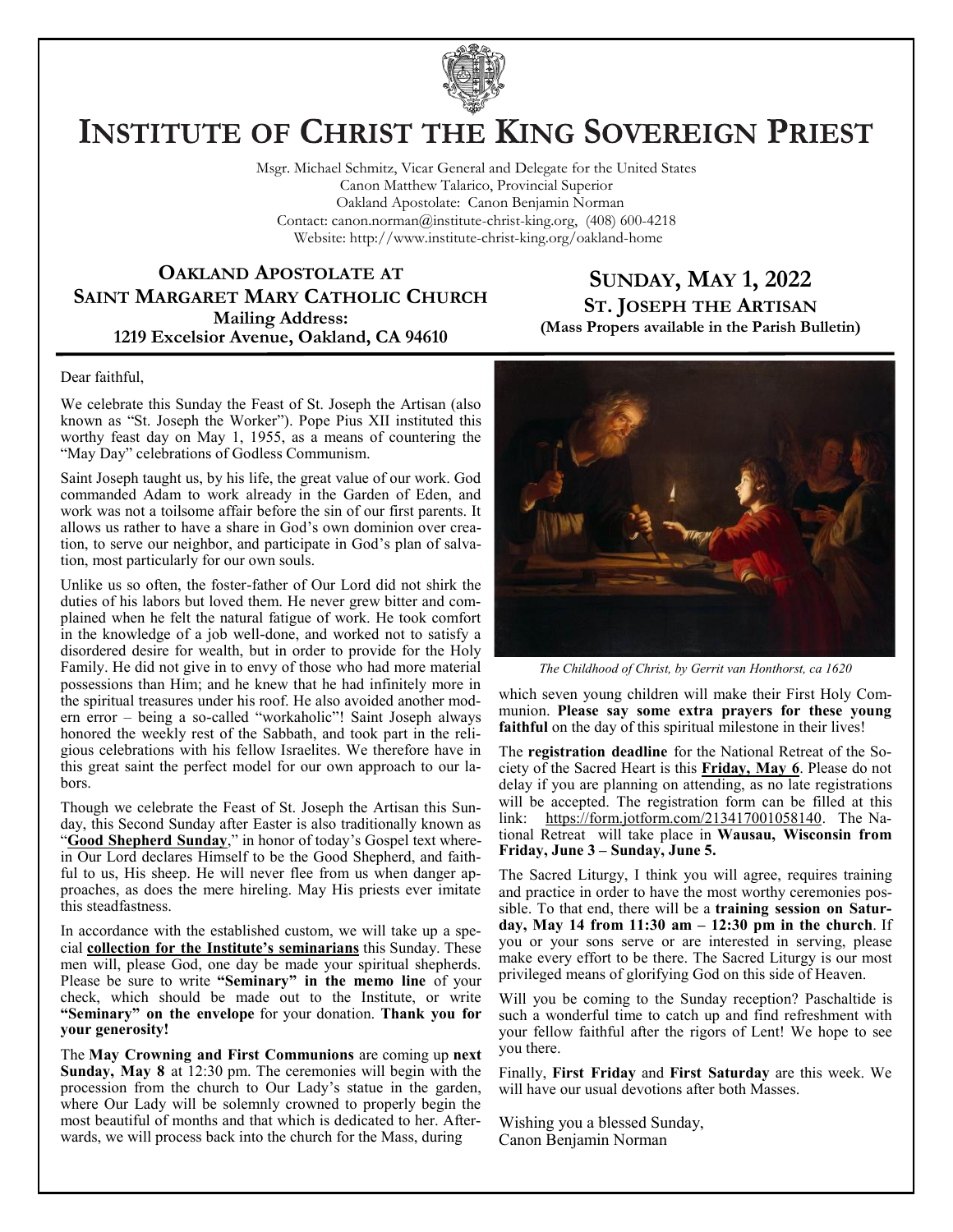

# **INSTITUTE OF CHRIST THE KING SOVEREIGN PRIEST**

Msgr. Michael Schmitz, Vicar General and Delegate for the United States Canon Matthew Talarico, Provincial Superior Oakland Apostolate: Canon Benjamin Norman Contact: canon.norman@institute-christ-king.org, (408) 600-4218 Website: http://www.institute-christ-king.org/oakland-home

#### **OAKLAND APOSTOLATE AT SAINT MARGARET MARY CATHOLIC CHURCH Mailing Address: 1219 Excelsior Avenue, Oakland, CA 94610**

#### **SUNDAY, MAY 1, 2022 ST. JOSEPH THE ARTISAN (Mass Propers available in the Parish Bulletin)**

Dear faithful,

We celebrate this Sunday the Feast of St. Joseph the Artisan (also known as "St. Joseph the Worker"). Pope Pius XII instituted this worthy feast day on May 1, 1955, as a means of countering the "May Day" celebrations of Godless Communism.

Saint Joseph taught us, by his life, the great value of our work. God commanded Adam to work already in the Garden of Eden, and work was not a toilsome affair before the sin of our first parents. It allows us rather to have a share in God's own dominion over creation, to serve our neighbor, and participate in God's plan of salvation, most particularly for our own souls.

Unlike us so often, the foster-father of Our Lord did not shirk the duties of his labors but loved them. He never grew bitter and complained when he felt the natural fatigue of work. He took comfort in the knowledge of a job well-done, and worked not to satisfy a disordered desire for wealth, but in order to provide for the Holy Family. He did not give in to envy of those who had more material possessions than Him; and he knew that he had infinitely more in the spiritual treasures under his roof. He also avoided another modern error – being a so-called "workaholic"! Saint Joseph always honored the weekly rest of the Sabbath, and took part in the religious celebrations with his fellow Israelites. We therefore have in this great saint the perfect model for our own approach to our labors.

Though we celebrate the Feast of St. Joseph the Artisan this Sunday, this Second Sunday after Easter is also traditionally known as "**Good Shepherd Sunday**," in honor of today's Gospel text wherein Our Lord declares Himself to be the Good Shepherd, and faithful to us, His sheep. He will never flee from us when danger approaches, as does the mere hireling. May His priests ever imitate this steadfastness.

In accordance with the established custom, we will take up a special **collection for the Institute's seminarians** this Sunday. These men will, please God, one day be made your spiritual shepherds. Please be sure to write **"Seminary" in the memo line** of your check, which should be made out to the Institute, or write **"Seminary" on the envelope** for your donation. **Thank you for your generosity!**

The **May Crowning and First Communions** are coming up **next Sunday, May 8** at 12:30 pm. The ceremonies will begin with the procession from the church to Our Lady's statue in the garden, where Our Lady will be solemnly crowned to properly begin the most beautiful of months and that which is dedicated to her. Afterwards, we will process back into the church for the Mass, during



*The Childhood of Christ, by Gerrit van Honthorst, ca 1620*

which seven young children will make their First Holy Communion. **Please say some extra prayers for these young**  faithful on the day of this spiritual milestone in their lives!

The **registration deadline** for the National Retreat of the Society of the Sacred Heart is this **Friday, May 6**. Please do not delay if you are planning on attending, as no late registrations will be accepted. The registration form can be filled at this link: [https://form.jotform.com/213417001058140.](https://form.jotform.com/213417001058140) The National Retreat will take place in **Wausau, Wisconsin from Friday, June 3 – Sunday, June 5.** 

The Sacred Liturgy, I think you will agree, requires training and practice in order to have the most worthy ceremonies possible. To that end, there will be a **training session on Saturday, May 14 from 11:30 am – 12:30 pm in the church**. If you or your sons serve or are interested in serving, please make every effort to be there. The Sacred Liturgy is our most privileged means of glorifying God on this side of Heaven.

Will you be coming to the Sunday reception? Paschaltide is such a wonderful time to catch up and find refreshment with your fellow faithful after the rigors of Lent! We hope to see you there.

Finally, **First Friday** and **First Saturday** are this week. We will have our usual devotions after both Masses.

Wishing you a blessed Sunday, Canon Benjamin Norman